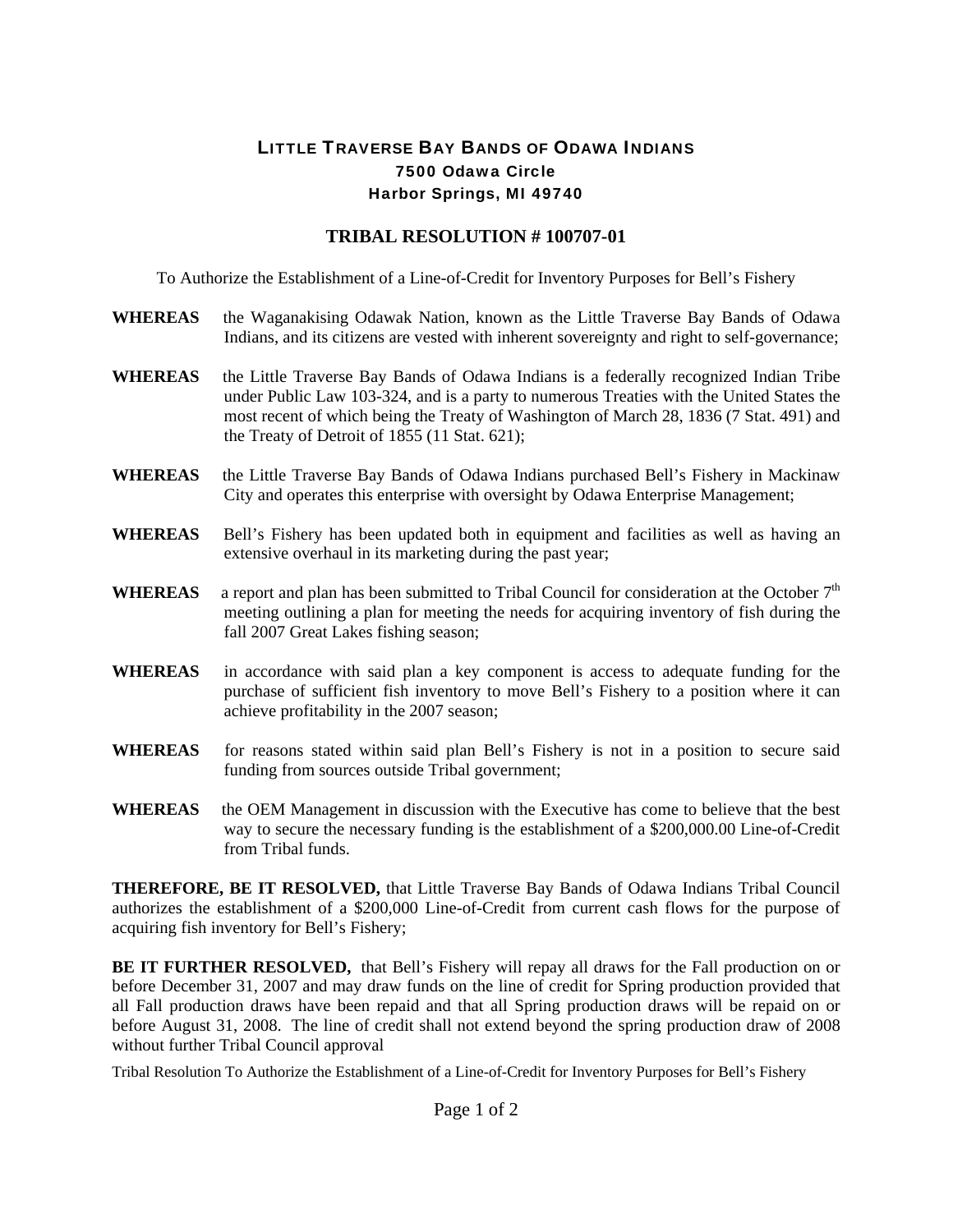## LITTLE TRAVERSE BAY BANDS OF ODAWA INDIANS 7500 Odawa Circle Harbor Springs, MI 49740

## **TRIBAL RESOLUTION # 100707-01**

To Authorize the Establishment of a Line-of-Credit for Inventory Purposes for Bell's Fishery

- **WHEREAS** the Waganakising Odawak Nation, known as the Little Traverse Bay Bands of Odawa Indians, and its citizens are vested with inherent sovereignty and right to self-governance;
- **WHEREAS** the Little Traverse Bay Bands of Odawa Indians is a federally recognized Indian Tribe under Public Law 103-324, and is a party to numerous Treaties with the United States the most recent of which being the Treaty of Washington of March 28, 1836 (7 Stat. 491) and the Treaty of Detroit of 1855 (11 Stat. 621);
- **WHEREAS** the Little Traverse Bay Bands of Odawa Indians purchased Bell's Fishery in Mackinaw City and operates this enterprise with oversight by Odawa Enterprise Management;
- **WHEREAS** Bell's Fishery has been updated both in equipment and facilities as well as having an extensive overhaul in its marketing during the past year;
- WHEREAS a report and plan has been submitted to Tribal Council for consideration at the October 7<sup>th</sup> meeting outlining a plan for meeting the needs for acquiring inventory of fish during the fall 2007 Great Lakes fishing season;
- **WHEREAS** in accordance with said plan a key component is access to adequate funding for the purchase of sufficient fish inventory to move Bell's Fishery to a position where it can achieve profitability in the 2007 season;
- WHEREAS for reasons stated within said plan Bell's Fishery is not in a position to secure said funding from sources outside Tribal government;
- **WHEREAS** the OEM Management in discussion with the Executive has come to believe that the best way to secure the necessary funding is the establishment of a \$200,000.00 Line-of-Credit from Tribal funds.

**THEREFORE, BE IT RESOLVED,** that Little Traverse Bay Bands of Odawa Indians Tribal Council authorizes the establishment of a \$200,000 Line-of-Credit from current cash flows for the purpose of acquiring fish inventory for Bell's Fishery;

**BE IT FURTHER RESOLVED,** that Bell's Fishery will repay all draws for the Fall production on or before December 31, 2007 and may draw funds on the line of credit for Spring production provided that all Fall production draws have been repaid and that all Spring production draws will be repaid on or before August 31, 2008. The line of credit shall not extend beyond the spring production draw of 2008 without further Tribal Council approval

Tribal Resolution To Authorize the Establishment of a Line-of-Credit for Inventory Purposes for Bell's Fishery